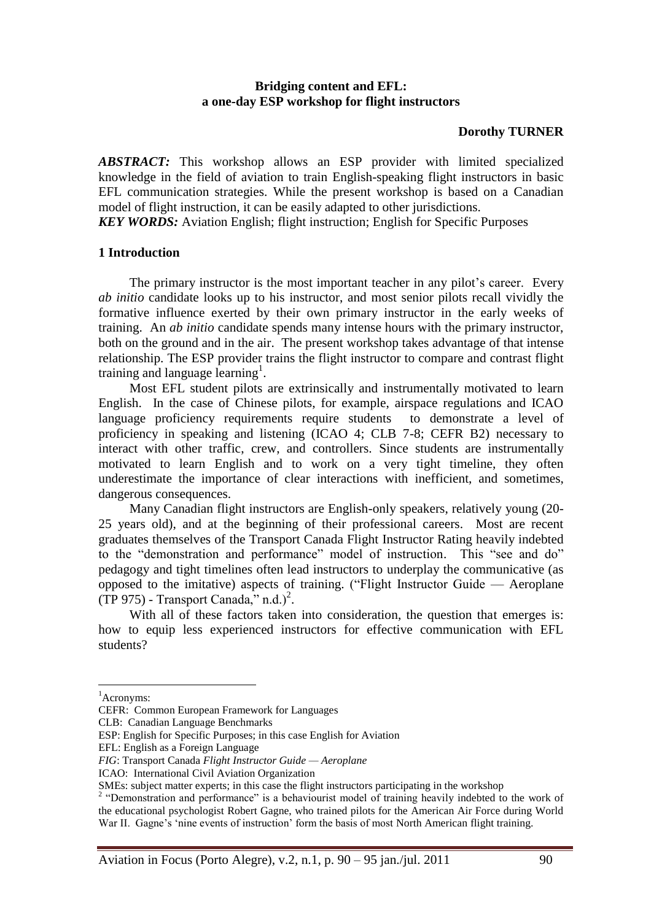### **Bridging content and EFL: a one-day ESP workshop for flight instructors**

### **Dorothy TURNER**

*ABSTRACT:* This workshop allows an ESP provider with limited specialized knowledge in the field of aviation to train English-speaking flight instructors in basic EFL communication strategies. While the present workshop is based on a Canadian model of flight instruction, it can be easily adapted to other jurisdictions.

*KEY WORDS:* Aviation English; flight instruction; English for Specific Purposes

### **1 Introduction**

The primary instructor is the most important teacher in any pilot's career. Every *ab initio* candidate looks up to his instructor, and most senior pilots recall vividly the formative influence exerted by their own primary instructor in the early weeks of training. An *ab initio* candidate spends many intense hours with the primary instructor, both on the ground and in the air. The present workshop takes advantage of that intense relationship. The ESP provider trains the flight instructor to compare and contrast flight training and language learning<sup>1</sup>.

Most EFL student pilots are extrinsically and instrumentally motivated to learn English. In the case of Chinese pilots, for example, airspace regulations and ICAO language proficiency requirements require students to demonstrate a level of proficiency in speaking and listening (ICAO 4; CLB 7-8; CEFR B2) necessary to interact with other traffic, crew, and controllers. Since students are instrumentally motivated to learn English and to work on a very tight timeline, they often underestimate the importance of clear interactions with inefficient, and sometimes, dangerous consequences.

Many Canadian flight instructors are English-only speakers, relatively young (20- 25 years old), and at the beginning of their professional careers. Most are recent graduates themselves of the Transport Canada Flight Instructor Rating heavily indebted to the "demonstration and performance" model of instruction. This "see and do" pedagogy and tight timelines often lead instructors to underplay the communicative (as opposed to the imitative) aspects of training. ("Flight Instructor Guide  $-$  Aeroplane  $(TP 975)$  - Transport Canada," n.d.)<sup>2</sup>.

With all of these factors taken into consideration, the question that emerges is: how to equip less experienced instructors for effective communication with EFL students?

 $\overline{a}$ 

Aviation in Focus (Porto Alegre), v.2, n.1, p. 90 – 95 jan./jul. 2011 90

<sup>&</sup>lt;sup>1</sup>Acronyms:

CEFR: Common European Framework for Languages

CLB: Canadian Language Benchmarks

ESP: English for Specific Purposes; in this case English for Aviation

EFL: English as a Foreign Language

*FIG*: Transport Canada *Flight Instructor Guide — Aeroplane*

ICAO: International Civil Aviation Organization

SMEs: subject matter experts; in this case the flight instructors participating in the workshop

<sup>&</sup>lt;sup>2</sup> "Demonstration and performance" is a behaviourist model of training heavily indebted to the work of the educational psychologist Robert Gagne, who trained pilots for the American Air Force during World War II. Gagne's 'nine events of instruction' form the basis of most North American flight training.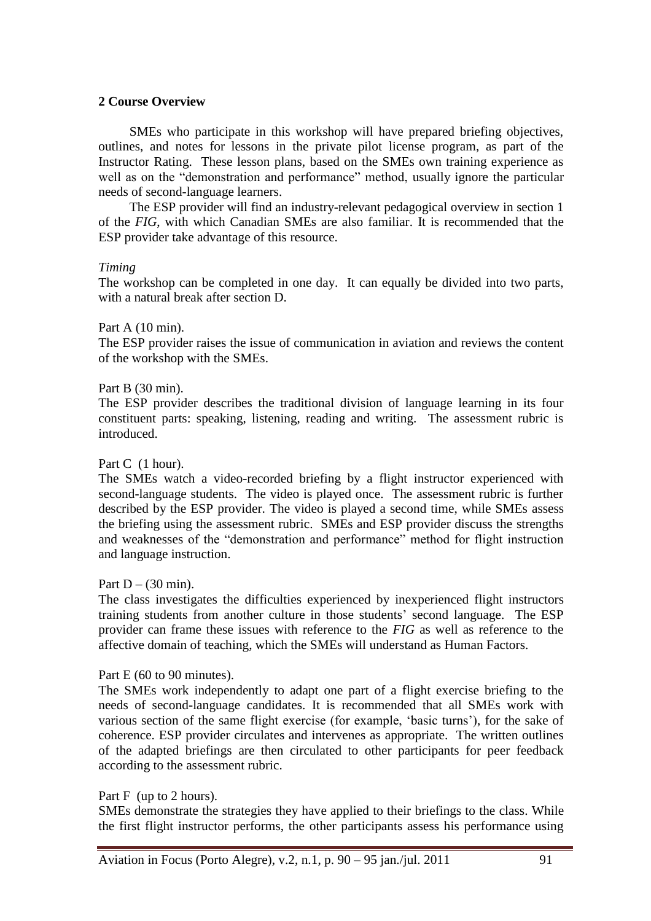### **2 Course Overview**

SMEs who participate in this workshop will have prepared briefing objectives, outlines, and notes for lessons in the private pilot license program, as part of the Instructor Rating. These lesson plans, based on the SMEs own training experience as well as on the "demonstration and performance" method, usually ignore the particular needs of second-language learners.

The ESP provider will find an industry-relevant pedagogical overview in section 1 of the *FIG*, with which Canadian SMEs are also familiar. It is recommended that the ESP provider take advantage of this resource.

#### *Timing*

The workshop can be completed in one day. It can equally be divided into two parts, with a natural break after section D.

### Part A (10 min).

The ESP provider raises the issue of communication in aviation and reviews the content of the workshop with the SMEs.

### Part B (30 min).

The ESP provider describes the traditional division of language learning in its four constituent parts: speaking, listening, reading and writing. The assessment rubric is introduced.

#### Part C (1 hour).

The SMEs watch a video-recorded briefing by a flight instructor experienced with second-language students. The video is played once. The assessment rubric is further described by the ESP provider. The video is played a second time, while SMEs assess the briefing using the assessment rubric. SMEs and ESP provider discuss the strengths and weaknesses of the "demonstration and performance" method for flight instruction and language instruction.

### Part  $D - (30 \text{ min})$ .

The class investigates the difficulties experienced by inexperienced flight instructors training students from another culture in those students' second language. The ESP provider can frame these issues with reference to the *FIG* as well as reference to the affective domain of teaching, which the SMEs will understand as Human Factors.

#### Part E (60 to 90 minutes).

The SMEs work independently to adapt one part of a flight exercise briefing to the needs of second-language candidates. It is recommended that all SMEs work with various section of the same flight exercise (for example, 'basic turns'), for the sake of coherence. ESP provider circulates and intervenes as appropriate. The written outlines of the adapted briefings are then circulated to other participants for peer feedback according to the assessment rubric.

#### Part F (up to 2 hours).

SMEs demonstrate the strategies they have applied to their briefings to the class. While the first flight instructor performs, the other participants assess his performance using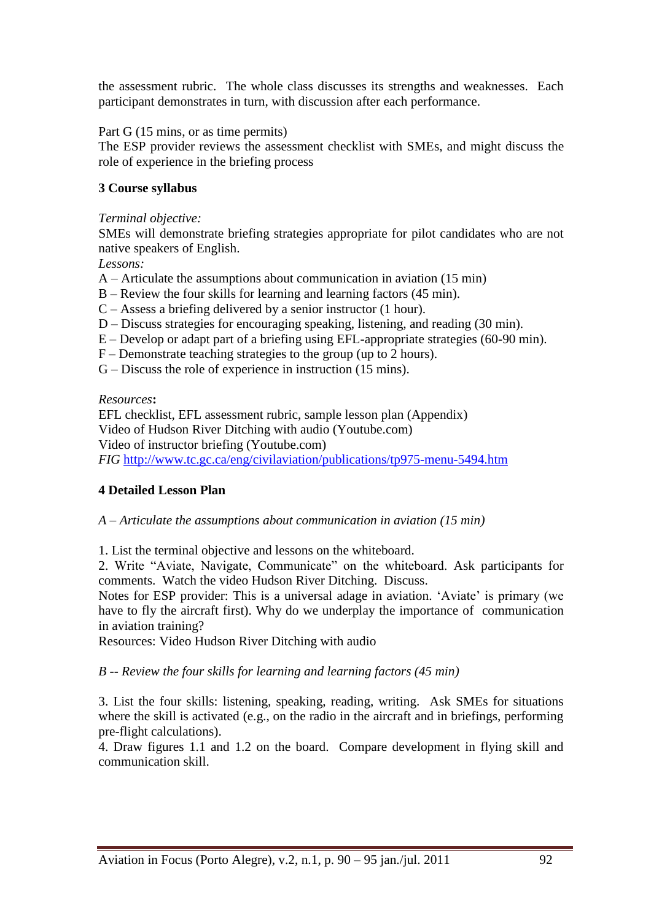the assessment rubric. The whole class discusses its strengths and weaknesses. Each participant demonstrates in turn, with discussion after each performance.

Part G (15 mins, or as time permits)

The ESP provider reviews the assessment checklist with SMEs, and might discuss the role of experience in the briefing process

# **3 Course syllabus**

## *Terminal objective:*

SMEs will demonstrate briefing strategies appropriate for pilot candidates who are not native speakers of English.

*Lessons:*

- A Articulate the assumptions about communication in aviation (15 min)
- B Review the four skills for learning and learning factors (45 min).
- C Assess a briefing delivered by a senior instructor (1 hour).
- D Discuss strategies for encouraging speaking, listening, and reading (30 min).
- E Develop or adapt part of a briefing using EFL-appropriate strategies (60-90 min).
- F Demonstrate teaching strategies to the group (up to 2 hours).
- G Discuss the role of experience in instruction (15 mins).

## *Resources***:**

EFL checklist, EFL assessment rubric, sample lesson plan (Appendix) Video of Hudson River Ditching with audio (Youtube.com) Video of instructor briefing (Youtube.com) *FIG* <http://www.tc.gc.ca/eng/civilaviation/publications/tp975-menu-5494.htm>

## **4 Detailed Lesson Plan**

*A – Articulate the assumptions about communication in aviation (15 min)*

1. List the terminal objective and lessons on the whiteboard.

2. Write "Aviate, Navigate, Communicate" on the whiteboard. Ask participants for comments. Watch the video Hudson River Ditching. Discuss.

Notes for ESP provider: This is a universal adage in aviation. 'Aviate' is primary (we have to fly the aircraft first). Why do we underplay the importance of communication in aviation training?

Resources: Video Hudson River Ditching with audio

*B -- Review the four skills for learning and learning factors (45 min)*

3. List the four skills: listening, speaking, reading, writing. Ask SMEs for situations where the skill is activated (e.g., on the radio in the aircraft and in briefings, performing pre-flight calculations).

4. Draw figures 1.1 and 1.2 on the board. Compare development in flying skill and communication skill.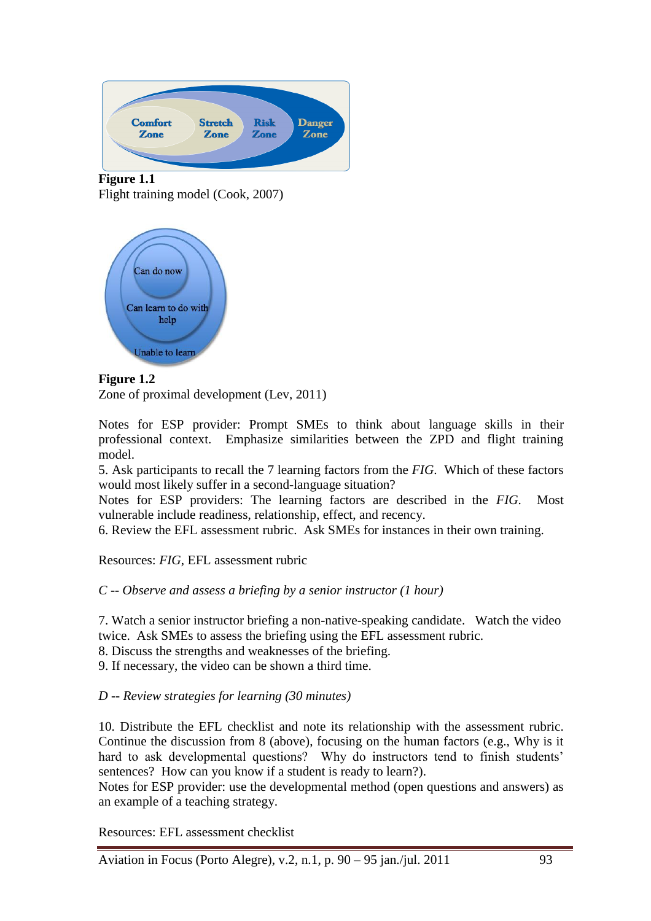

**Figure 1.1** Flight training model (Cook, 2007)



# **Figure 1.2**

Zone of proximal development (Lev, 2011)

Notes for ESP provider: Prompt SMEs to think about language skills in their professional context. Emphasize similarities between the ZPD and flight training model.

5. Ask participants to recall the 7 learning factors from the *FIG*. Which of these factors would most likely suffer in a second-language situation?

Notes for ESP providers: The learning factors are described in the *FIG*. Most vulnerable include readiness, relationship, effect, and recency.

6. Review the EFL assessment rubric. Ask SMEs for instances in their own training.

Resources: *FIG*, EFL assessment rubric

## *C -- Observe and assess a briefing by a senior instructor (1 hour)*

7. Watch a senior instructor briefing a non-native-speaking candidate. Watch the video twice. Ask SMEs to assess the briefing using the EFL assessment rubric.

8. Discuss the strengths and weaknesses of the briefing.

9. If necessary, the video can be shown a third time.

## *D -- Review strategies for learning (30 minutes)*

10. Distribute the EFL checklist and note its relationship with the assessment rubric. Continue the discussion from 8 (above), focusing on the human factors (e.g., Why is it hard to ask developmental questions? Why do instructors tend to finish students' sentences? How can you know if a student is ready to learn?).

Notes for ESP provider: use the developmental method (open questions and answers) as an example of a teaching strategy.

Resources: EFL assessment checklist

Aviation in Focus (Porto Alegre), v.2, n.1, p. 90 – 95 jan./jul. 2011 93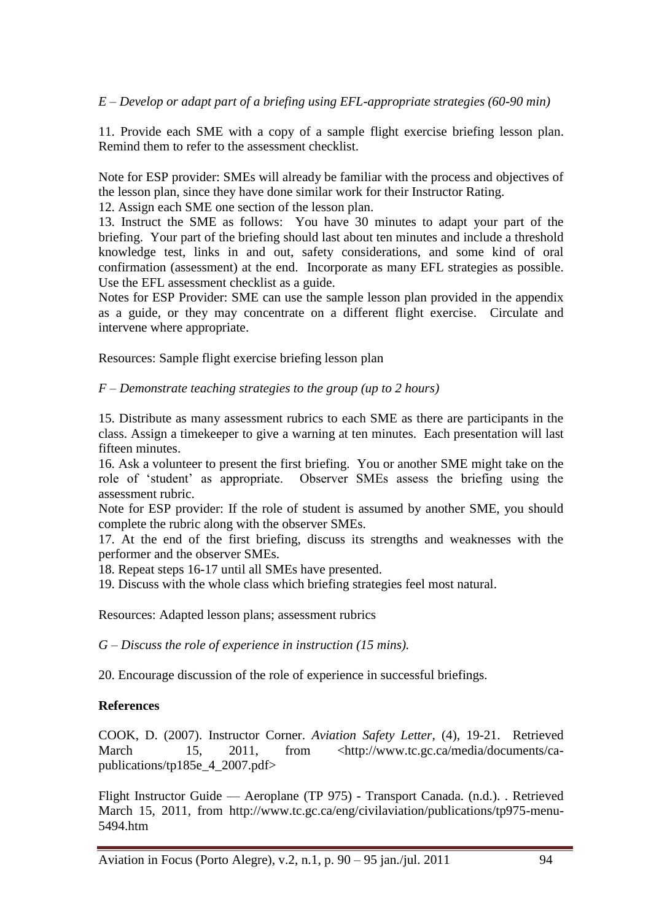*E – Develop or adapt part of a briefing using EFL-appropriate strategies (60-90 min)*

11. Provide each SME with a copy of a sample flight exercise briefing lesson plan. Remind them to refer to the assessment checklist.

Note for ESP provider: SMEs will already be familiar with the process and objectives of the lesson plan, since they have done similar work for their Instructor Rating.

12. Assign each SME one section of the lesson plan.

13. Instruct the SME as follows: You have 30 minutes to adapt your part of the briefing. Your part of the briefing should last about ten minutes and include a threshold knowledge test, links in and out, safety considerations, and some kind of oral confirmation (assessment) at the end. Incorporate as many EFL strategies as possible. Use the EFL assessment checklist as a guide.

Notes for ESP Provider: SME can use the sample lesson plan provided in the appendix as a guide, or they may concentrate on a different flight exercise. Circulate and intervene where appropriate.

Resources: Sample flight exercise briefing lesson plan

*F – Demonstrate teaching strategies to the group (up to 2 hours)*

15. Distribute as many assessment rubrics to each SME as there are participants in the class. Assign a timekeeper to give a warning at ten minutes. Each presentation will last fifteen minutes.

16. Ask a volunteer to present the first briefing. You or another SME might take on the role of ‗student' as appropriate. Observer SMEs assess the briefing using the assessment rubric.

Note for ESP provider: If the role of student is assumed by another SME, you should complete the rubric along with the observer SMEs.

17. At the end of the first briefing, discuss its strengths and weaknesses with the performer and the observer SMEs.

18. Repeat steps 16-17 until all SMEs have presented.

19. Discuss with the whole class which briefing strategies feel most natural.

Resources: Adapted lesson plans; assessment rubrics

*G – Discuss the role of experience in instruction (15 mins).*

20. Encourage discussion of the role of experience in successful briefings.

## **References**

COOK, D. (2007). Instructor Corner. *Aviation Safety Letter*, (4), 19-21. Retrieved March 15, 2011, from <http://www.tc.gc.ca/media/documents/capublications/tp185e\_4\_2007.pdf>

Flight Instructor Guide — Aeroplane (TP 975) - Transport Canada. (n.d.). . Retrieved March 15, 2011, from http://www.tc.gc.ca/eng/civilaviation/publications/tp975-menu-5494.htm